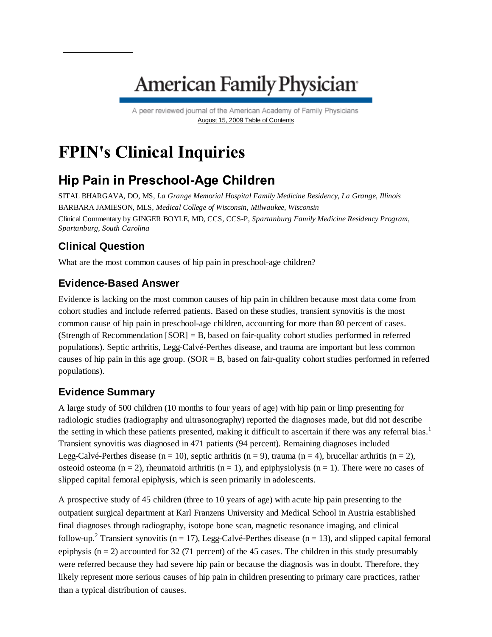# **American Family Physician**

A peer reviewed journal of the American Academy of Family Physicians August 15, 2009 Table of Contents

## **FPIN's Clinical Inquiries**

### Hip Pain in Preschool-Age Children

SITAL BHARGAVA, DO, MS, *La Grange Memorial Hospital Family Medicine Residency, La Grange, Illinois* BARBARA JAMIESON, MLS, *Medical College of Wisconsin, Milwaukee, Wisconsin* Clinical Commentary by GINGER BOYLE, MD, CCS, CCS-P, *Spartanburg Family Medicine Residency Program, Spartanburg, South Carolina*

#### **Clinical Question**

What are the most common causes of hip pain in preschool-age children?

#### **Evidence-Based Answer**

Evidence is lacking on the most common causes of hip pain in children because most data come from cohort studies and include referred patients. Based on these studies, transient synovitis is the most common cause of hip pain in preschool-age children, accounting for more than 80 percent of cases. (Strength of Recommendation [SOR] = B, based on fair-quality cohort studies performed in referred populations). Septic arthritis, Legg-Calvé-Perthes disease, and trauma are important but less common causes of hip pain in this age group. (SOR = B, based on fair-quality cohort studies performed in referred populations).

#### **Evidence Summary**

A large study of 500 children (10 months to four years of age) with hip pain or limp presenting for radiologic studies (radiography and ultrasonography) reported the diagnoses made, but did not describe the setting in which these patients presented, making it difficult to ascertain if there was any referral bias.<sup>1</sup> Transient synovitis was diagnosed in 471 patients (94 percent). Remaining diagnoses included Legg-Calvé-Perthes disease (n = 10), septic arthritis (n = 9), trauma (n = 4), brucellar arthritis (n = 2), osteoid osteoma  $(n = 2)$ , rheumatoid arthritis  $(n = 1)$ , and epiphysiolysis  $(n = 1)$ . There were no cases of slipped capital femoral epiphysis, which is seen primarily in adolescents.

A prospective study of 45 children (three to 10 years of age) with acute hip pain presenting to the outpatient surgical department at Karl Franzens University and Medical School in Austria established final diagnoses through radiography, isotope bone scan, magnetic resonance imaging, and clinical follow-up.<sup>2</sup> Transient synovitis ( $n = 17$ ), Legg-Calvé-Perthes disease ( $n = 13$ ), and slipped capital femoral epiphysis  $(n = 2)$  accounted for 32 (71 percent) of the 45 cases. The children in this study presumably were referred because they had severe hip pain or because the diagnosis was in doubt. Therefore, they likely represent more serious causes of hip pain in children presenting to primary care practices, rather than a typical distribution of causes.